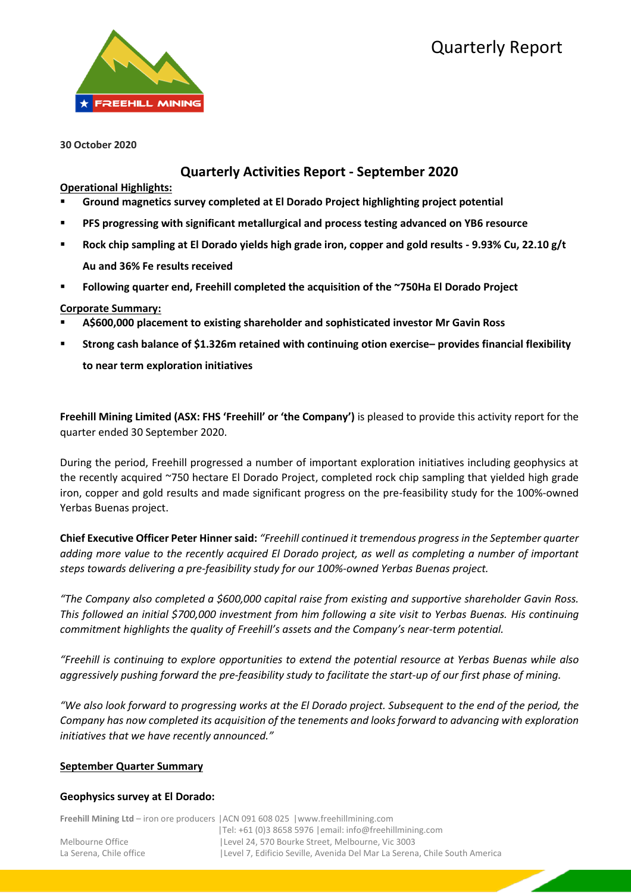

**30 October 2020** 

# **Quarterly Activities Report - September 2020**

## **Operational Highlights:**

- **Ground magnetics survey completed at El Dorado Project highlighting project potential**
- **PFS progressing with significant metallurgical and process testing advanced on YB6 resource**
- **Rock chip sampling at El Dorado yields high grade iron, copper and gold results - 9.93% Cu, 22.10 g/t Au and 36% Fe results received**
- **Following quarter end, Freehill completed the acquisition of the ~750Ha El Dorado Project**

# **Corporate Summary:**

- **A\$600,000 placement to existing shareholder and sophisticated investor Mr Gavin Ross**
- **Strong cash balance of \$1.326m retained with continuing otion exercise– provides financial flexibility to near term exploration initiatives**

**Freehill Mining Limited (ASX: FHS 'Freehill' or 'the Company')** is pleased to provide this activity report for the quarter ended 30 September 2020.

During the period, Freehill progressed a number of important exploration initiatives including geophysics at the recently acquired ~750 hectare El Dorado Project, completed rock chip sampling that yielded high grade iron, copper and gold results and made significant progress on the pre-feasibility study for the 100%-owned Yerbas Buenas project.

**Chief Executive Officer Peter Hinner said:** *"Freehill continued it tremendous progress in the September quarter adding more value to the recently acquired El Dorado project, as well as completing a number of important steps towards delivering a pre-feasibility study for our 100%-owned Yerbas Buenas project.*

*"The Company also completed a \$600,000 capital raise from existing and supportive shareholder Gavin Ross. This followed an initial \$700,000 investment from him following a site visit to Yerbas Buenas. His continuing commitment highlights the quality of Freehill's assets and the Company's near-term potential.* 

*"Freehill is continuing to explore opportunities to extend the potential resource at Yerbas Buenas while also aggressively pushing forward the pre-feasibility study to facilitate the start-up of our first phase of mining.* 

*"We also look forward to progressing works at the El Dorado project. Subsequent to the end of the period, the Company has now completed its acquisition of the tenements and looks forward to advancing with exploration initiatives that we have recently announced."*

#### **September Quarter Summary**

#### **Geophysics survey at El Dorado:**

|                         | <b>Freehill Mining Ltd</b> – iron ore producers   ACN 091 608 025   www.freehillmining.com |
|-------------------------|--------------------------------------------------------------------------------------------|
|                         | $ Te $ : +61 (0)3 8658 5976   email: info@freehillmining.com                               |
| Melbourne Office        | Level 24, 570 Bourke Street, Melbourne, Vic 3003                                           |
| La Serena. Chile office | Level 7, Edificio Seville, Avenida Del Mar La Serena, Chile South America                  |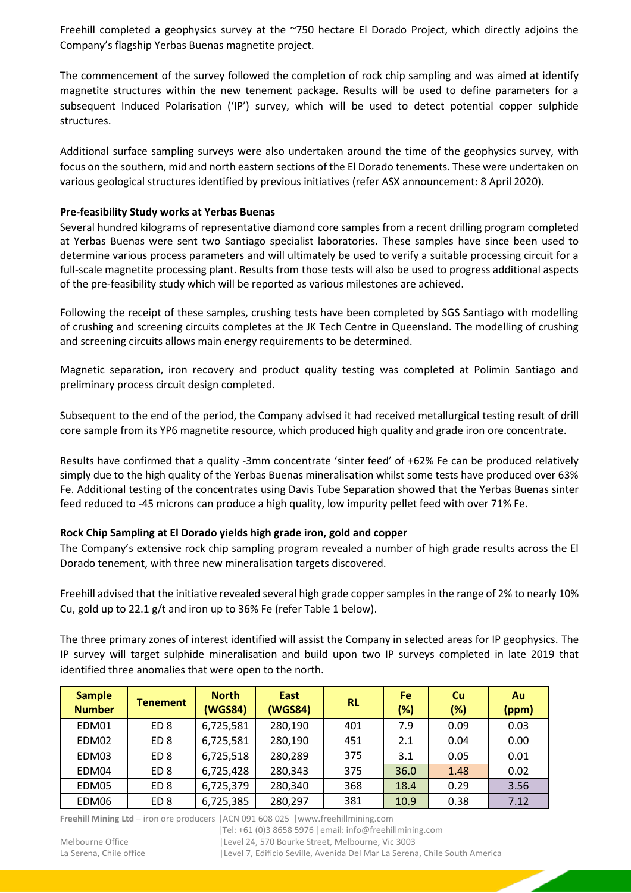Freehill completed a geophysics survey at the ~750 hectare El Dorado Project, which directly adjoins the Company's flagship Yerbas Buenas magnetite project.

The commencement of the survey followed the completion of rock chip sampling and was aimed at identify magnetite structures within the new tenement package. Results will be used to define parameters for a subsequent Induced Polarisation ('IP') survey, which will be used to detect potential copper sulphide structures.

Additional surface sampling surveys were also undertaken around the time of the geophysics survey, with focus on the southern, mid and north eastern sections of the El Dorado tenements. These were undertaken on various geological structures identified by previous initiatives (refer ASX announcement: 8 April 2020).

## **Pre-feasibility Study works at Yerbas Buenas**

Several hundred kilograms of representative diamond core samples from a recent drilling program completed at Yerbas Buenas were sent two Santiago specialist laboratories. These samples have since been used to determine various process parameters and will ultimately be used to verify a suitable processing circuit for a full-scale magnetite processing plant. Results from those tests will also be used to progress additional aspects of the pre-feasibility study which will be reported as various milestones are achieved.

Following the receipt of these samples, crushing tests have been completed by SGS Santiago with modelling of crushing and screening circuits completes at the JK Tech Centre in Queensland. The modelling of crushing and screening circuits allows main energy requirements to be determined.

Magnetic separation, iron recovery and product quality testing was completed at Polimin Santiago and preliminary process circuit design completed.

Subsequent to the end of the period, the Company advised it had received metallurgical testing result of drill core sample from its YP6 magnetite resource, which produced high quality and grade iron ore concentrate.

Results have confirmed that a quality -3mm concentrate 'sinter feed' of +62% Fe can be produced relatively simply due to the high quality of the Yerbas Buenas mineralisation whilst some tests have produced over 63% Fe. Additional testing of the concentrates using Davis Tube Separation showed that the Yerbas Buenas sinter feed reduced to -45 microns can produce a high quality, low impurity pellet feed with over 71% Fe.

# **Rock Chip Sampling at El Dorado yields high grade iron, gold and copper**

The Company's extensive rock chip sampling program revealed a number of high grade results across the El Dorado tenement, with three new mineralisation targets discovered.

Freehill advised that the initiative revealed several high grade coppersamples in the range of 2% to nearly 10% Cu, gold up to 22.1 g/t and iron up to 36% Fe (refer Table 1 below).

The three primary zones of interest identified will assist the Company in selected areas for IP geophysics. The IP survey will target sulphide mineralisation and build upon two IP surveys completed in late 2019 that identified three anomalies that were open to the north.

| <b>Sample</b><br><b>Number</b> | <b>Tenement</b> | <b>North</b><br>(WGS84) | <b>East</b><br>(WGS84) | <b>RL</b> | <b>Fe</b><br>(%) | Cu<br>(%) | Au<br>(ppm) |
|--------------------------------|-----------------|-------------------------|------------------------|-----------|------------------|-----------|-------------|
| EDM01                          | ED <sub>8</sub> | 6,725,581               | 280,190                | 401       | 7.9              | 0.09      | 0.03        |
| EDM02                          | ED <sub>8</sub> | 6,725,581               | 280,190                | 451       | 2.1              | 0.04      | 0.00        |
| EDM03                          | ED <sub>8</sub> | 6,725,518               | 280,289                | 375       | 3.1              | 0.05      | 0.01        |
| EDM04                          | ED <sub>8</sub> | 6,725,428               | 280,343                | 375       | 36.0             | 1.48      | 0.02        |
| EDM05                          | ED <sub>8</sub> | 6,725,379               | 280,340                | 368       | 18.4             | 0.29      | 3.56        |
| EDM06                          | ED <sub>8</sub> | 6,725,385               | 280,297                | 381       | 10.9             | 0.38      | 7.12        |

**Freehill Mining Ltd** – iron ore producers |ACN 091 608 025 |www.freehillmining.com

|Tel: +61 (0)3 8658 5976 |email: info@freehillmining.com Melbourne Office |Level 24, 570 Bourke Street, Melbourne, Vic 3003

La Serena, Chile office | Level 7, Edificio Seville, Avenida Del Mar La Serena, Chile South America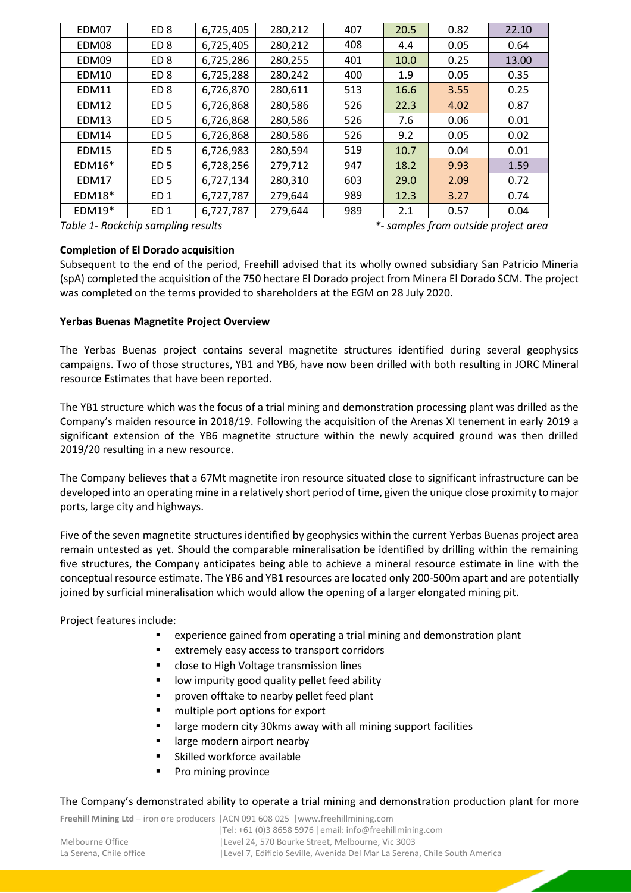| EDM07        | ED <sub>8</sub> | 6,725,405 | 280,212 | 407 | 20.5 | 0.82 | 22.10 |
|--------------|-----------------|-----------|---------|-----|------|------|-------|
| EDM08        | ED <sub>8</sub> | 6,725,405 | 280,212 | 408 | 4.4  | 0.05 | 0.64  |
| EDM09        | ED <sub>8</sub> | 6,725,286 | 280,255 | 401 | 10.0 | 0.25 | 13.00 |
| EDM10        | ED <sub>8</sub> | 6,725,288 | 280,242 | 400 | 1.9  | 0.05 | 0.35  |
| <b>EDM11</b> | ED <sub>8</sub> | 6,726,870 | 280,611 | 513 | 16.6 | 3.55 | 0.25  |
| EDM12        | ED <sub>5</sub> | 6,726,868 | 280,586 | 526 | 22.3 | 4.02 | 0.87  |
| EDM13        | ED <sub>5</sub> | 6,726,868 | 280,586 | 526 | 7.6  | 0.06 | 0.01  |
| EDM14        | ED <sub>5</sub> | 6,726,868 | 280,586 | 526 | 9.2  | 0.05 | 0.02  |
| EDM15        | ED <sub>5</sub> | 6,726,983 | 280,594 | 519 | 10.7 | 0.04 | 0.01  |
| $EDM16*$     | ED <sub>5</sub> | 6,728,256 | 279,712 | 947 | 18.2 | 9.93 | 1.59  |
| EDM17        | ED <sub>5</sub> | 6,727,134 | 280,310 | 603 | 29.0 | 2.09 | 0.72  |
| $EDM18*$     | ED <sub>1</sub> | 6,727,787 | 279,644 | 989 | 12.3 | 3.27 | 0.74  |
| $EDM19*$     | ED <sub>1</sub> | 6,727,787 | 279,644 | 989 | 2.1  | 0.57 | 0.04  |

*Table 1- Rockchip sampling results \*- samples from outside project area*

## **Completion of El Dorado acquisition**

Subsequent to the end of the period, Freehill advised that its wholly owned subsidiary San Patricio Mineria (spA) completed the acquisition of the 750 hectare El Dorado project from Minera El Dorado SCM. The project was completed on the terms provided to shareholders at the EGM on 28 July 2020.

## **Yerbas Buenas Magnetite Project Overview**

The Yerbas Buenas project contains several magnetite structures identified during several geophysics campaigns. Two of those structures, YB1 and YB6, have now been drilled with both resulting in JORC Mineral resource Estimates that have been reported.

The YB1 structure which was the focus of a trial mining and demonstration processing plant was drilled as the Company's maiden resource in 2018/19. Following the acquisition of the Arenas XI tenement in early 2019 a significant extension of the YB6 magnetite structure within the newly acquired ground was then drilled 2019/20 resulting in a new resource.

The Company believes that a 67Mt magnetite iron resource situated close to significant infrastructure can be developed into an operating mine in a relatively short period of time, given the unique close proximity to major ports, large city and highways.

Five of the seven magnetite structures identified by geophysics within the current Yerbas Buenas project area remain untested as yet. Should the comparable mineralisation be identified by drilling within the remaining five structures, the Company anticipates being able to achieve a mineral resource estimate in line with the conceptual resource estimate. The YB6 and YB1 resources are located only 200-500m apart and are potentially joined by surficial mineralisation which would allow the opening of a larger elongated mining pit.

# Project features include:

- experience gained from operating a trial mining and demonstration plant
- extremely easy access to transport corridors
- close to High Voltage transmission lines
- low impurity good quality pellet feed ability
- proven offtake to nearby pellet feed plant
- multiple port options for export
- large modern city 30kms away with all mining support facilities
- large modern airport nearby
- Skilled workforce available
- Pro mining province

#### The Company's demonstrated ability to operate a trial mining and demonstration production plant for more

**Freehill Mining Ltd** – iron ore producers |ACN 091 608 025 |www.freehillmining.com

|                         | <b>Freehill Mining Ltd – iron ore producers  ACN 091 608 025   www.freehillmining.com</b> |
|-------------------------|-------------------------------------------------------------------------------------------|
|                         | Tel: +61 (0)3 8658 5976   email: info@freehillmining.com                                  |
| Melbourne Office        | Level 24, 570 Bourke Street, Melbourne, Vic 3003                                          |
| La Serena. Chile office | Level 7, Edificio Seville, Avenida Del Mar La Serena, Chile South America                 |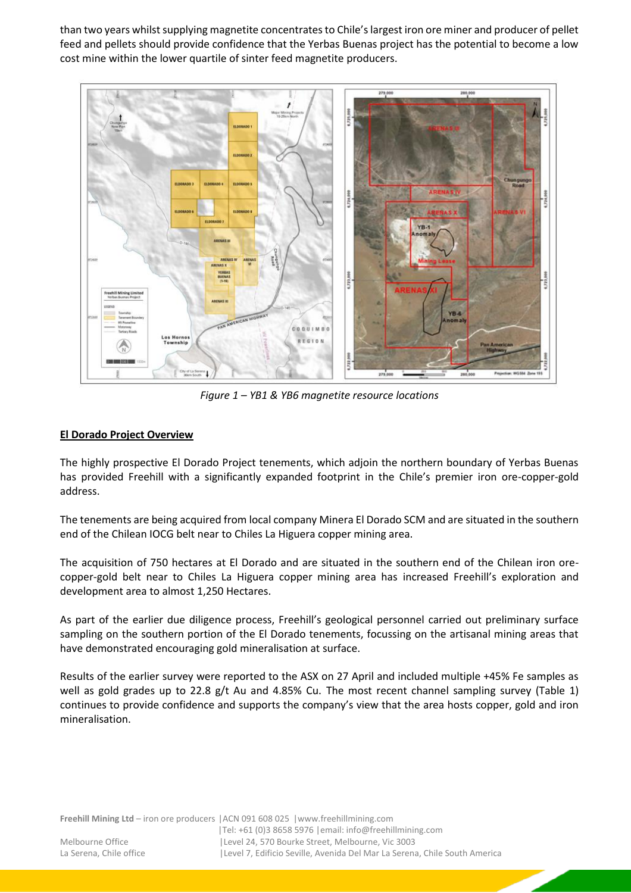than two years whilst supplying magnetite concentrates to Chile's largest iron ore miner and producer of pellet feed and pellets should provide confidence that the Yerbas Buenas project has the potential to become a low cost mine within the lower quartile of sinter feed magnetite producers.



*Figure 1 – YB1 & YB6 magnetite resource locations*

# **El Dorado Project Overview**

The highly prospective El Dorado Project tenements, which adjoin the northern boundary of Yerbas Buenas has provided Freehill with a significantly expanded footprint in the Chile's premier iron ore-copper-gold address.

The tenements are being acquired from local company Minera El Dorado SCM and are situated in the southern end of the Chilean IOCG belt near to Chiles La Higuera copper mining area.

The acquisition of 750 hectares at El Dorado and are situated in the southern end of the Chilean iron orecopper-gold belt near to Chiles La Higuera copper mining area has increased Freehill's exploration and development area to almost 1,250 Hectares.

As part of the earlier due diligence process, Freehill's geological personnel carried out preliminary surface sampling on the southern portion of the El Dorado tenements, focussing on the artisanal mining areas that have demonstrated encouraging gold mineralisation at surface.

Results of the earlier survey were reported to the ASX on 27 April and included multiple +45% Fe samples as well as gold grades up to 22.8 g/t Au and 4.85% Cu. The most recent channel sampling survey (Table 1) continues to provide confidence and supports the company's view that the area hosts copper, gold and iron mineralisation.

**Freehill Mining Ltd** – iron ore producers |ACN 091 608 025 |www.freehillmining.com

|Tel: +61 (0)3 8658 5976 |email: info@freehillmining.com Melbourne Office |Level 24, 570 Bourke Street, Melbourne, Vic 3003 La Serena, Chile office | Level 7, Edificio Seville, Avenida Del Mar La Serena, Chile South America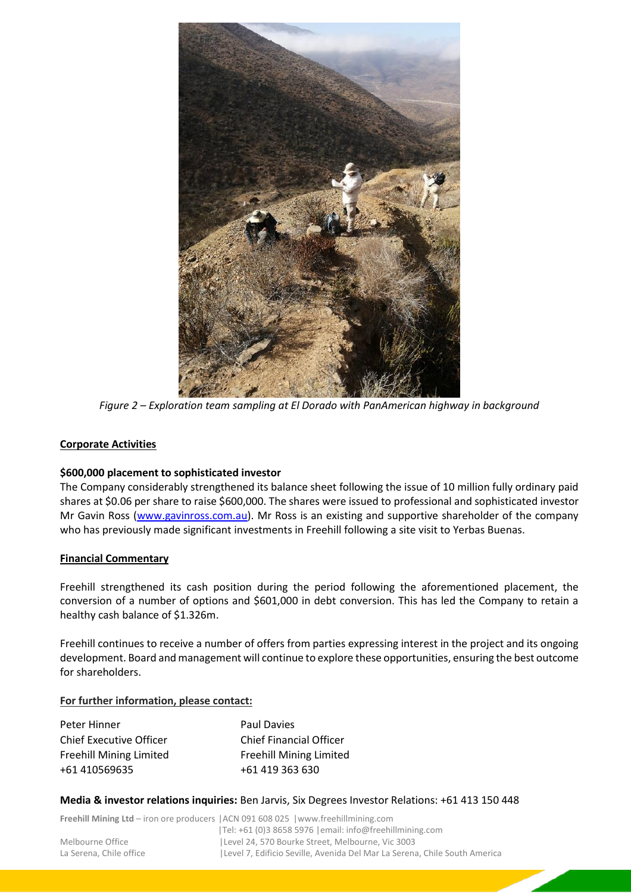

*Figure 2 – Exploration team sampling at El Dorado with PanAmerican highway in background* 

#### **Corporate Activities**

#### **\$600,000 placement to sophisticated investor**

The Company considerably strengthened its balance sheet following the issue of 10 million fully ordinary paid shares at \$0.06 per share to raise \$600,000. The shares were issued to professional and sophisticated investor Mr Gavin Ross [\(www.gavinross.com.au\)](http://www.gavinross.com.au/). Mr Ross is an existing and supportive shareholder of the company who has previously made significant investments in Freehill following a site visit to Yerbas Buenas.

#### **Financial Commentary**

Freehill strengthened its cash position during the period following the aforementioned placement, the conversion of a number of options and \$601,000 in debt conversion. This has led the Company to retain a healthy cash balance of \$1.326m.

Freehill continues to receive a number of offers from parties expressing interest in the project and its ongoing development. Board and management will continue to explore these opportunities, ensuring the best outcome for shareholders.

#### **For further information, please contact:**

| Peter Hinner                   | Paul Davies                    |
|--------------------------------|--------------------------------|
| <b>Chief Executive Officer</b> | <b>Chief Financial Officer</b> |
| <b>Freehill Mining Limited</b> | <b>Freehill Mining Limited</b> |
| +61 410569635                  | +61 419 363 630                |

#### **Media & investor relations inquiries:** Ben Jarvis, Six Degrees Investor Relations: +61 413 150 448

|                         | <b>Freehill Mining Ltd</b> – iron ore producers $ ACN091608025 $ www.freehillmining.com |
|-------------------------|-----------------------------------------------------------------------------------------|
|                         | $ Te $ : +61 (0)3 8658 5976   email: info@freehillmining.com                            |
| Melbourne Office        | Level 24, 570 Bourke Street, Melbourne, Vic 3003                                        |
| La Serena. Chile office | Level 7, Edificio Seville, Avenida Del Mar La Serena, Chile South America               |